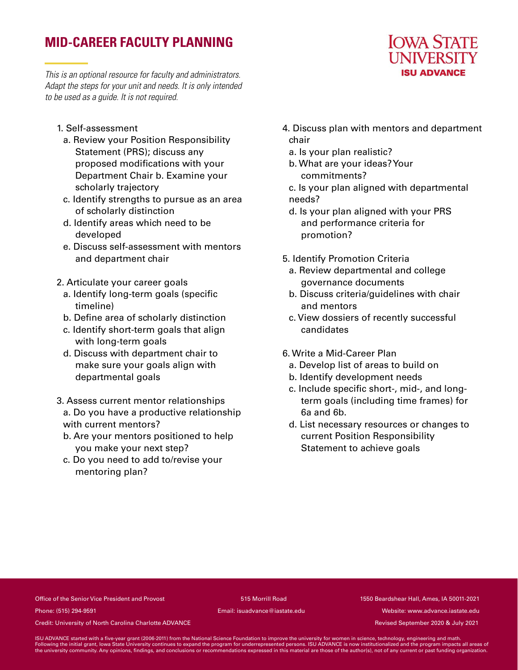# **MID-CAREER FACULTY PLANNING**

*This is an optional resource for faculty and administrators. Adapt the steps for your unit and needs. It is only intended to be used as a guide. It is not required.*

- 1. Self-assessment
	- a. Review your Position Responsibility Statement (PRS); discuss any proposed modifications with your Department Chair b. Examine your scholarly trajectory
- c. Identify strengths to pursue as an area of scholarly distinction
- d. Identify areas which need to be developed
- e. Discuss self-assessment with mentors and department chair
- 2. Articulate your career goals
	- a. Identify long-term goals (specific timeline)
	- b. Define area of scholarly distinction
	- c. Identify short-term goals that align with long-term goals
	- d. Discuss with department chair to make sure your goals align with departmental goals
- 3. Assess current mentor relationships a. Do you have a productive relationship with current mentors?
	- b. Are your mentors positioned to help you make your next step?
	- c. Do you need to add to/revise your mentoring plan?
- 4. Discuss plan with mentors and department chair
	- a. Is your plan realistic?
	- b. What are your ideas? Your commitments?
	- c. Is your plan aligned with departmental needs?
	- d. Is your plan aligned with your PRS and performance criteria for promotion?
- 5. Identify Promotion Criteria
	- a. Review departmental and college governance documents
	- b. Discuss criteria/guidelines with chair and mentors
	- c. View dossiers of recently successful candidates
- 6. Write a Mid-Career Plan
	- a. Develop list of areas to build on
	- b. Identify development needs
	- c. Include specific short-, mid-, and longterm goals (including time frames) for 6a and 6b.
	- d. List necessary resources or changes to current Position Responsibility Statement to achieve goals

# Office of the Senior Vice President and Provost 515 Morrill Road 1550 Beardshear Hall, Ames, IA 50011-2021

Phone: (515) 294-9591 Email: isuadvance@iastate.edu Website: www.advance.iastate.edu

Credit: University of North Carolina Charlotte ADVANCE **Revised September 2020 & July 2021** Credit: University of North Carolina Charlotte ADVANCE

ISU ADVANCE started with a five-year grant (2006-2011) from the National Science Foundation to improve the university for women in science, technology, engineering and math.<br>Following the initial grant, lowa State Universi

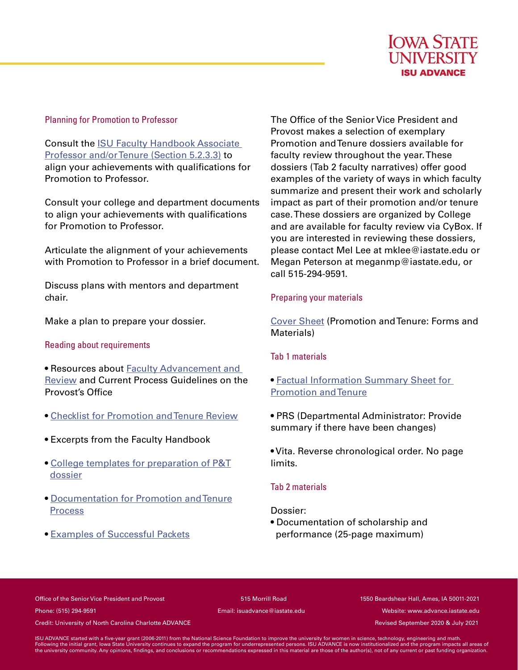

#### Planning for Promotion to Professor

Consult the ISU Faculty Handbook Associate Professor and/or Tenure (Section 5.2.3.3) to align your achievements with qualifications for Promotion to Professor.

Consult your college and department documents to align your achievements with qualifications for Promotion to Professor.

Articulate the alignment of your achievements with Promotion to Professor in a brief document.

Discuss plans with mentors and department chair.

Make a plan to prepare your dossier.

### Reading about requirements

• Resources about Faculty Advancement and Review and Current Process Guidelines on the Provost's Office

- Checklist for Promotion and Tenure Review
- Excerpts from the Faculty Handbook
- College templates for preparation of P&T dossier
- Documentation for Promotion and Tenure **Process**
- Examples of Successful Packets

The Office of the Senior Vice President and Provost makes a selection of exemplary Promotion and Tenure dossiers available for faculty review throughout the year. These dossiers (Tab 2 faculty narratives) offer good examples of the variety of ways in which faculty summarize and present their work and scholarly impact as part of their promotion and/or tenure case. These dossiers are organized by College and are available for faculty review via CyBox. If you are interested in reviewing these dossiers, please contact Mel Lee at mklee@iastate.edu or Megan Peterson at meganmp@iastate.edu, or call 515-294-9591.

## Preparing your materials

Cover Sheet (Promotion and Tenure: Forms and Materials)

# Tab 1 materials

- Factual Information Summary Sheet for Promotion and Tenure
- PRS (Departmental Administrator: Provide summary if there have been changes)

• Vita. Reverse chronological order. No page limits.

### Tab 2 materials

### Dossier:

• Documentation of scholarship and performance (25-page maximum)

Office of the Senior Vice President and Provost 515 Morrill Road 1550 Beardshear Hall, Ames, IA 50011-2021 Phone: (515) 294-9591 Email: isuadvance@iastate.edu Website: www.advance.iastate.edu

Credit: University of North Carolina Charlotte ADVANCE **Revised September 2020 & July 2021** Credit: University of North Carolina Charlotte ADVANCE

ISU ADVANCE started with a five-year grant (2006-2011) from the National Science Foundation to improve the university for women in science, technology, engineering and math.<br>Following the initial grant, lowa State Universi